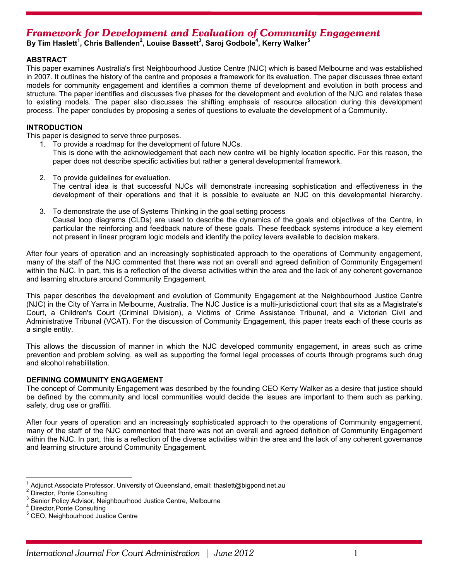# *Framework for Development and Evaluation of Community Engagement*

 $\mathsf{By}$  Tim Haslett $^1$ , Chris Ballenden $^2$ , Louise Bassett $^3$ , Saroj Godbole $^4$ , Kerry Walker $^5$ 

## **ABSTRACT**

This paper examines Australia's first Neighbourhood Justice Centre (NJC) which is based Melbourne and was established in 2007. It outlines the history of the centre and proposes a framework for its evaluation. The paper discusses three extant models for community engagement and identifies a common theme of development and evolution in both process and structure. The paper identifies and discusses five phases for the development and evolution of the NJC and relates these to existing models. The paper also discusses the shifting emphasis of resource allocation during this development process. The paper concludes by proposing a series of questions to evaluate the development of a Community.

## **INTRODUCTION**

This paper is designed to serve three purposes.

- 1. To provide a roadmap for the development of future NJCs. This is done with the acknowledgement that each new centre will be highly location specific. For this reason, the paper does not describe specific activities but rather a general developmental framework.
- 2. To provide guidelines for evaluation. The central idea is that successful NJCs will demonstrate increasing sophistication and effectiveness in the development of their operations and that it is possible to evaluate an NJC on this developmental hierarchy.
- 3. To demonstrate the use of Systems Thinking in the goal setting process Causal loop diagrams (CLDs) are used to describe the dynamics of the goals and objectives of the Centre, in particular the reinforcing and feedback nature of these goals. These feedback systems introduce a key element not present in linear program logic models and identify the policy levers available to decision makers.

After four years of operation and an increasingly sophisticated approach to the operations of Community engagement, many of the staff of the NJC commented that there was not an overall and agreed definition of Community Engagement within the NJC. In part, this is a reflection of the diverse activities within the area and the lack of any coherent governance and learning structure around Community Engagement.

This paper describes the development and evolution of Community Engagement at the Neighbourhood Justice Centre (NJC) in the City of Yarra in Melbourne, Australia. The NJC Justice is a multi-jurisdictional court that sits as a Magistrate's Court, a Children's Court (Criminal Division), a Victims of Crime Assistance Tribunal, and a Victorian Civil and Administrative Tribunal (VCAT). For the discussion of Community Engagement, this paper treats each of these courts as a single entity.

This allows the discussion of manner in which the NJC developed community engagement, in areas such as crime prevention and problem solving, as well as supporting the formal legal processes of courts through programs such drug and alcohol rehabilitation.

## **DEFINING COMMUNITY ENGAGEMENT**

The concept of Community Engagement was described by the founding CEO Kerry Walker as a desire that justice should be defined by the community and local communities would decide the issues are important to them such as parking, safety, drug use or graffiti.

After four years of operation and an increasingly sophisticated approach to the operations of Community engagement, many of the staff of the NJC commented that there was not an overall and agreed definition of Community Engagement within the NJC. In part, this is a reflection of the diverse activities within the area and the lack of any coherent governance and learning structure around Community Engagement.

 $\overline{a}$ 1 Adjunct Associate Professor, University of Queensland, email: thaslett@bigpond.net.au 2

<sup>&</sup>lt;sup>2</sup> Director, Ponte Consulting

<sup>&</sup>lt;sup>3</sup> Senior Policy Advisor, Neighbourhood Justice Centre, Melbourne

<sup>4</sup> Director,Ponte Consulting

<sup>5</sup> CEO, Neighbourhood Justice Centre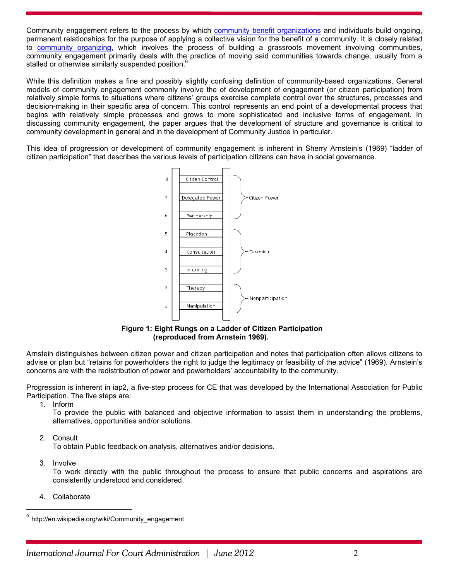Community engagement refers to the process by which [community benefit organizations](http://en.wikipedia.org/wiki/Community_benefit_organization) and individuals build ongoing, permanent relationships for the purpose of applying a collective vision for the benefit of a community. It is closely related to [community organizing,](http://en.wikipedia.org/wiki/Community_organizing) which involves the process of building a grassroots movement involving communities, community engagement primarily deals with the practice of moving said communities towards change, usually from a stalled or otherwise similarly suspended position.<sup>6</sup>

While this definition makes a fine and possibly slightly confusing definition of community-based organizations, General models of community engagement commonly involve the of development of engagement (or citizen participation) from relatively simple forms to situations where citizens' groups exercise complete control over the structures, processes and decision-making in their specific area of concern. This control represents an end point of a developmental process that begins with relatively simple processes and grows to more sophisticated and inclusive forms of engagement. In discussing community engagement, the paper argues that the development of structure and governance is critical to community development in general and in the development of Community Justice in particular.

This idea of progression or development of community engagement is inherent in Sherry Arnstein's (1969) "ladder of citizen participation" that describes the various levels of participation citizens can have in social governance.



 **Figure 1: Eight Rungs on a Ladder of Citizen Participation (reproduced from Arnstein 1969).** 

Arnstein distinguishes between citizen power and citizen participation and notes that participation often allows citizens to advise or plan but "retains for powerholders the right to judge the legitimacy or feasibility of the advice" (1969). Arnstein's concerns are with the redistribution of power and powerholders' accountability to the community.

Progression is inherent in iap2, a five-step process for CE that was developed by the International Association for Public Participation. The five steps are:

1. Inform

To provide the public with balanced and objective information to assist them in understanding the problems, alternatives, opportunities and/or solutions.

2. Consult

To obtain Public feedback on analysis, alternatives and/or decisions.

3. Involve

To work directly with the public throughout the process to ensure that public concerns and aspirations are consistently understood and considered.

4. Collaborate

 $\overline{a}$ 

http://en.wikipedia.org/wiki/Community\_engagement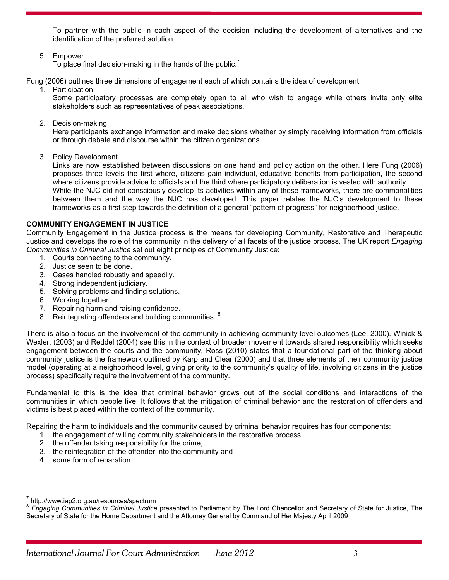To partner with the public in each aspect of the decision including the development of alternatives and the identification of the preferred solution.

5. Empower

To place final decision-making in the hands of the public.<sup>7</sup>

Fung (2006) outlines three dimensions of engagement each of which contains the idea of development.

1. Participation

Some participatory processes are completely open to all who wish to engage while others invite only elite stakeholders such as representatives of peak associations.

2. Decision-making

Here participants exchange information and make decisions whether by simply receiving information from officials or through debate and discourse within the citizen organizations

3. Policy Development

Links are now established between discussions on one hand and policy action on the other. Here Fung (2006) proposes three levels the first where, citizens gain individual, educative benefits from participation, the second where citizens provide advice to officials and the third where participatory deliberation is vested with authority While the NJC did not consciously develop its activities within any of these frameworks, there are commonalities between them and the way the NJC has developed. This paper relates the NJC's development to these frameworks as a first step towards the definition of a general "pattern of progress" for neighborhood justice.

## **COMMUNITY ENGAGEMENT IN JUSTICE**

Community Engagement in the Justice process is the means for developing Community, Restorative and Therapeutic Justice and develops the role of the community in the delivery of all facets of the justice process. The UK report *Engaging Communities in Criminal Justice* set out eight principles of Community Justice:

- 1. Courts connecting to the community.
- 2. Justice seen to be done.
- 3. Cases handled robustly and speedily.
- 4. Strong independent judiciary.
- 5. Solving problems and finding solutions.
- 6. Working together.
- 7. Repairing harm and raising confidence.
- 8. Reintegrating offenders and building communities. <sup>8</sup>

There is also a focus on the involvement of the community in achieving community level outcomes (Lee, 2000). Winick & Wexler, (2003) and Reddel (2004) see this in the context of broader movement towards shared responsibility which seeks engagement between the courts and the community, Ross (2010) states that a foundational part of the thinking about community justice is the framework outlined by Karp and Clear (2000) and that three elements of their community justice model (operating at a neighborhood level, giving priority to the community's quality of life, involving citizens in the justice process) specifically require the involvement of the community.

Fundamental to this is the idea that criminal behavior grows out of the social conditions and interactions of the communities in which people live. It follows that the mitigation of criminal behavior and the restoration of offenders and victims is best placed within the context of the community.

Repairing the harm to individuals and the community caused by criminal behavior requires has four components:

- 1. the engagement of willing community stakeholders in the restorative process,
- 2. the offender taking responsibility for the crime,
- 3. the reintegration of the offender into the community and
- 4. some form of reparation.

 $\frac{1}{7}$ 

<sup>&</sup>lt;sup>8</sup> Engaging Communities in Criminal Justice presented to Parliament by The Lord Chancellor and Secretary of State for Justice, The Secretary of State for the Home Department and the Attorney General by Command of Her Majesty April 2009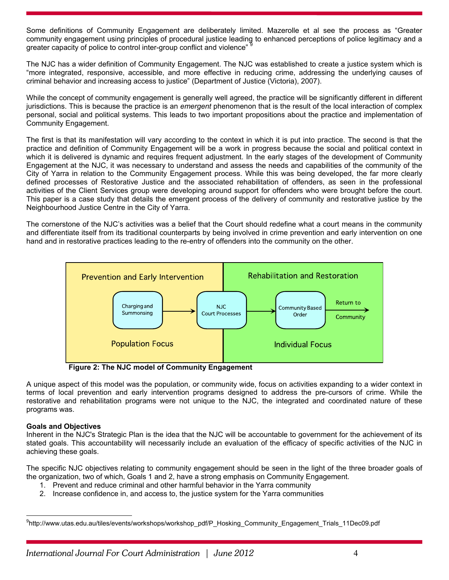Some definitions of Community Engagement are deliberately limited. Mazerolle et al see the process as "Greater community engagement using principles of procedural justice leading to enhanced perceptions of police legitimacy and a greater capacity of police to control inter-group conflict and violence"

The NJC has a wider definition of Community Engagement. The NJC was established to create a justice system which is "more integrated, responsive, accessible, and more effective in reducing crime, addressing the underlying causes of criminal behavior and increasing access to justice" (Department of Justice (Victoria), 2007).

While the concept of community engagement is generally well agreed, the practice will be significantly different in different jurisdictions. This is because the practice is an *emergent* phenomenon that is the result of the local interaction of complex personal, social and political systems. This leads to two important propositions about the practice and implementation of Community Engagement.

The first is that its manifestation will vary according to the context in which it is put into practice. The second is that the practice and definition of Community Engagement will be a work in progress because the social and political context in which it is delivered is dynamic and requires frequent adjustment. In the early stages of the development of Community Engagement at the NJC, it was necessary to understand and assess the needs and capabilities of the community of the City of Yarra in relation to the Community Engagement process. While this was being developed, the far more clearly defined processes of Restorative Justice and the associated rehabilitation of offenders, as seen in the professional activities of the Client Services group were developing around support for offenders who were brought before the court. This paper is a case study that details the emergent process of the delivery of community and restorative justice by the Neighbourhood Justice Centre in the City of Yarra.

The cornerstone of the NJC's activities was a belief that the Court should redefine what a court means in the community and differentiate itself from its traditional counterparts by being involved in crime prevention and early intervention on one hand and in restorative practices leading to the re-entry of offenders into the community on the other.



 **Figure 2: The NJC model of Community Engagement** 

A unique aspect of this model was the population, or community wide, focus on activities expanding to a wider context in terms of local prevention and early intervention programs designed to address the pre-cursors of crime. While the restorative and rehabilitation programs were not unique to the NJC, the integrated and coordinated nature of these programs was.

## **Goals and Objectives**

Inherent in the NJC's Strategic Plan is the idea that the NJC will be accountable to government for the achievement of its stated goals. This accountability will necessarily include an evaluation of the efficacy of specific activities of the NJC in achieving these goals.

The specific NJC objectives relating to community engagement should be seen in the light of the three broader goals of the organization, two of which, Goals 1 and 2, have a strong emphasis on Community Engagement.

- 1. Prevent and reduce criminal and other harmful behavior in the Yarra community
- 2. Increase confidence in, and access to, the justice system for the Yarra communities

 $\overline{a}$ 9 http://www.utas.edu.au/tiles/events/workshops/workshop\_pdf/P\_Hosking\_Community\_Engagement\_Trials\_11Dec09.pdf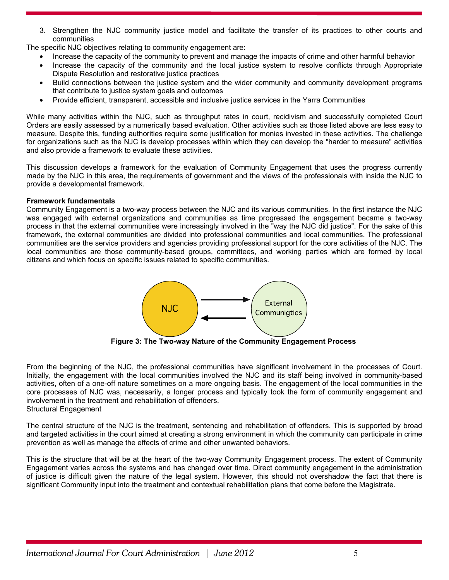3. Strengthen the NJC community justice model and facilitate the transfer of its practices to other courts and communities

The specific NJC objectives relating to community engagement are:

- Increase the capacity of the community to prevent and manage the impacts of crime and other harmful behavior
- Increase the capacity of the community and the local justice system to resolve conflicts through Appropriate Dispute Resolution and restorative justice practices
- Build connections between the justice system and the wider community and community development programs that contribute to justice system goals and outcomes
- Provide efficient, transparent, accessible and inclusive justice services in the Yarra Communities

While many activities within the NJC, such as throughput rates in court, recidivism and successfully completed Court Orders are easily assessed by a numerically based evaluation. Other activities such as those listed above are less easy to measure. Despite this, funding authorities require some justification for monies invested in these activities. The challenge for organizations such as the NJC is develop processes within which they can develop the "harder to measure" activities and also provide a framework to evaluate these activities.

This discussion develops a framework for the evaluation of Community Engagement that uses the progress currently made by the NJC in this area, the requirements of government and the views of the professionals with inside the NJC to provide a developmental framework.

#### **Framework fundamentals**

Community Engagement is a two-way process between the NJC and its various communities. In the first instance the NJC was engaged with external organizations and communities as time progressed the engagement became a two-way process in that the external communities were increasingly involved in the "way the NJC did justice". For the sake of this framework, the external communities are divided into professional communities and local communities. The professional communities are the service providers and agencies providing professional support for the core activities of the NJC. The local communities are those community-based groups, committees, and working parties which are formed by local citizens and which focus on specific issues related to specific communities.



 **Figure 3: The Two-way Nature of the Community Engagement Process** 

From the beginning of the NJC, the professional communities have significant involvement in the processes of Court. Initially, the engagement with the local communities involved the NJC and its staff being involved in community-based activities, often of a one-off nature sometimes on a more ongoing basis. The engagement of the local communities in the core processes of NJC was, necessarily, a longer process and typically took the form of community engagement and involvement in the treatment and rehabilitation of offenders. Structural Engagement

The central structure of the NJC is the treatment, sentencing and rehabilitation of offenders. This is supported by broad and targeted activities in the court aimed at creating a strong environment in which the community can participate in crime prevention as well as manage the effects of crime and other unwanted behaviors.

This is the structure that will be at the heart of the two-way Community Engagement process. The extent of Community Engagement varies across the systems and has changed over time. Direct community engagement in the administration of justice is difficult given the nature of the legal system. However, this should not overshadow the fact that there is significant Community input into the treatment and contextual rehabilitation plans that come before the Magistrate.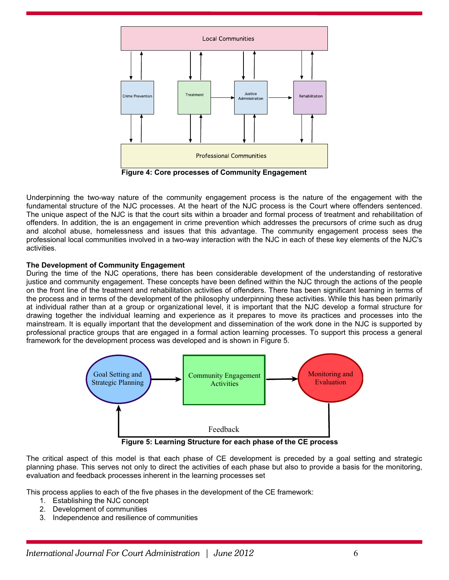

 **Figure 4: Core processes of Community Engagement** 

Underpinning the two-way nature of the community engagement process is the nature of the engagement with the fundamental structure of the NJC processes. At the heart of the NJC process is the Court where offenders sentenced. The unique aspect of the NJC is that the court sits within a broader and formal process of treatment and rehabilitation of offenders. In addition, the is an engagement in crime prevention which addresses the precursors of crime such as drug and alcohol abuse, homelessness and issues that this advantage. The community engagement process sees the professional local communities involved in a two-way interaction with the NJC in each of these key elements of the NJC's activities.

#### **The Development of Community Engagement**

During the time of the NJC operations, there has been considerable development of the understanding of restorative justice and community engagement. These concepts have been defined within the NJC through the actions of the people on the front line of the treatment and rehabilitation activities of offenders. There has been significant learning in terms of the process and in terms of the development of the philosophy underpinning these activities. While this has been primarily at individual rather than at a group or organizational level, it is important that the NJC develop a formal structure for drawing together the individual learning and experience as it prepares to move its practices and processes into the mainstream. It is equally important that the development and dissemination of the work done in the NJC is supported by professional practice groups that are engaged in a formal action learning processes. To support this process a general framework for the development process was developed and is shown in Figure 5.



 **Figure 5: Learning Structure for each phase of the CE process** 

The critical aspect of this model is that each phase of CE development is preceded by a goal setting and strategic planning phase. This serves not only to direct the activities of each phase but also to provide a basis for the monitoring, evaluation and feedback processes inherent in the learning processes set

This process applies to each of the five phases in the development of the CE framework:

- 1. Establishing the NJC concept
- 2. Development of communities
- 3. Independence and resilience of communities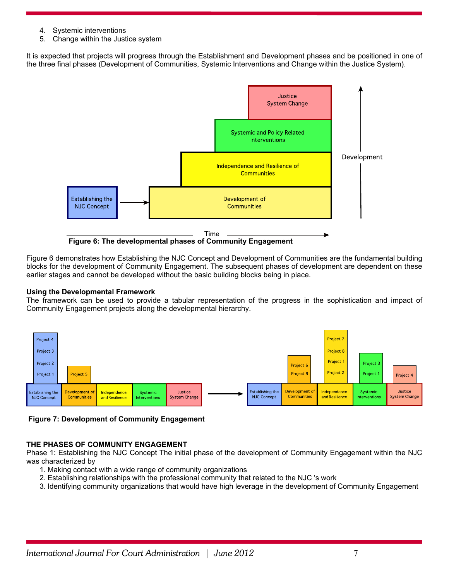- 4. Systemic interventions
- 5. Change within the Justice system

It is expected that projects will progress through the Establishment and Development phases and be positioned in one of the three final phases (Development of Communities, Systemic Interventions and Change within the Justice System).



Figure 6 demonstrates how Establishing the NJC Concept and Development of Communities are the fundamental building blocks for the development of Community Engagement. The subsequent phases of development are dependent on these earlier stages and cannot be developed without the basic building blocks being in place.

#### **Using the Developmental Framework**

The framework can be used to provide a tabular representation of the progress in the sophistication and impact of Community Engagement projects along the developmental hierarchy.



 **Figure 7: Development of Community Engagement** 

## **THE PHASES OF COMMUNITY ENGAGEMENT**

Phase 1: Establishing the NJC Concept The initial phase of the development of Community Engagement within the NJC was characterized by

- 1. Making contact with a wide range of community organizations
- 2. Establishing relationships with the professional community that related to the NJC 's work
- 3. Identifying community organizations that would have high leverage in the development of Community Engagement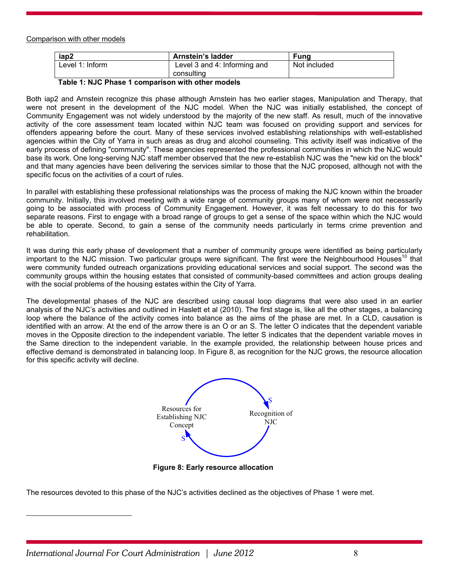Comparison with other models

| iap2            | <b>Arnstein's ladder</b>     | Funa         |
|-----------------|------------------------------|--------------|
| Level 1: Inform | Level 3 and 4: Informing and | Not included |
|                 | consulting                   |              |

 **Table 1: NJC Phase 1 comparison with other models** 

Both iap2 and Arnstein recognize this phase although Arnstein has two earlier stages, Manipulation and Therapy, that were not present in the development of the NJC model. When the NJC was initially established, the concept of Community Engagement was not widely understood by the majority of the new staff. As result, much of the innovative activity of the core assessment team located within NJC team was focused on providing support and services for offenders appearing before the court. Many of these services involved establishing relationships with well-established agencies within the City of Yarra in such areas as drug and alcohol counseling. This activity itself was indicative of the early process of defining "community". These agencies represented the professional communities in which the NJC would base its work. One long-serving NJC staff member observed that the new re-establish NJC was the "new kid on the block" and that many agencies have been delivering the services similar to those that the NJC proposed, although not with the specific focus on the activities of a court of rules.

In parallel with establishing these professional relationships was the process of making the NJC known within the broader community. Initially, this involved meeting with a wide range of community groups many of whom were not necessarily going to be associated with process of Community Engagement. However, it was felt necessary to do this for two separate reasons. First to engage with a broad range of groups to get a sense of the space within which the NJC would be able to operate. Second, to gain a sense of the community needs particularly in terms crime prevention and rehabilitation.

It was during this early phase of development that a number of community groups were identified as being particularly important to the NJC mission. Two particular groups were significant. The first were the Neighbourhood Houses<sup>10</sup> that were community funded outreach organizations providing educational services and social support. The second was the community groups within the housing estates that consisted of community-based committees and action groups dealing with the social problems of the housing estates within the City of Yarra.

The developmental phases of the NJC are described using causal loop diagrams that were also used in an earlier analysis of the NJC's activities and outlined in Haslett et al (2010). The first stage is, like all the other stages, a balancing loop where the balance of the activity comes into balance as the aims of the phase are met. In a CLD, causation is identified with an arrow. At the end of the arrow there is an O or an S. The letter O indicates that the dependent variable moves in the Opposite direction to the independent variable. The letter S indicates that the dependent variable moves in the Same direction to the independent variable. In the example provided, the relationship between house prices and effective demand is demonstrated in balancing loop. In Figure 8, as recognition for the NJC grows, the resource allocation for this specific activity will decline.



 **Figure 8: Early resource allocation** 

The resources devoted to this phase of the NJC's activities declined as the objectives of Phase 1 were met.

 $\overline{a}$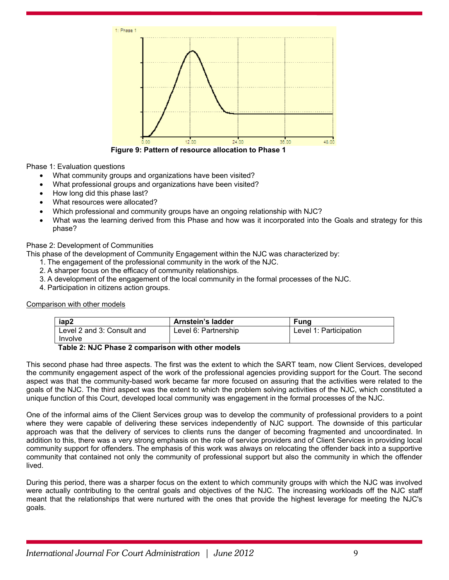

 **Figure 9: Pattern of resource allocation to Phase 1** 

Phase 1: Evaluation questions

- What community groups and organizations have been visited?
- What professional groups and organizations have been visited?
- How long did this phase last?
- What resources were allocated?
- Which professional and community groups have an ongoing relationship with NJC?
- What was the learning derived from this Phase and how was it incorporated into the Goals and strategy for this phase?

## Phase 2: Development of Communities

This phase of the development of Community Engagement within the NJC was characterized by:

- 1. The engagement of the professional community in the work of the NJC.
- 2. A sharper focus on the efficacy of community relationships.
- 3. A development of the engagement of the local community in the formal processes of the NJC.
- 4. Participation in citizens action groups.

Comparison with other models

| iap2                                                                | Arnstein's ladder    | Funa                   |
|---------------------------------------------------------------------|----------------------|------------------------|
| Level 2 and 3: Consult and                                          | Level 6: Partnership | Level 1: Participation |
| I Involve                                                           |                      |                        |
| . Takiha Adali i A. Bibana A. Indonesia da da kili da kasa da da ba |                      |                        |

#### **Table 2: NJC Phase 2 comparison with other models**

This second phase had three aspects. The first was the extent to which the SART team, now Client Services, developed the community engagement aspect of the work of the professional agencies providing support for the Court. The second aspect was that the community-based work became far more focused on assuring that the activities were related to the goals of the NJC. The third aspect was the extent to which the problem solving activities of the NJC, which constituted a unique function of this Court, developed local community was engagement in the formal processes of the NJC.

One of the informal aims of the Client Services group was to develop the community of professional providers to a point where they were capable of delivering these services independently of NJC support. The downside of this particular approach was that the delivery of services to clients runs the danger of becoming fragmented and uncoordinated. In addition to this, there was a very strong emphasis on the role of service providers and of Client Services in providing local community support for offenders. The emphasis of this work was always on relocating the offender back into a supportive community that contained not only the community of professional support but also the community in which the offender lived.

During this period, there was a sharper focus on the extent to which community groups with which the NJC was involved were actually contributing to the central goals and objectives of the NJC. The increasing workloads off the NJC staff meant that the relationships that were nurtured with the ones that provide the highest leverage for meeting the NJC's goals.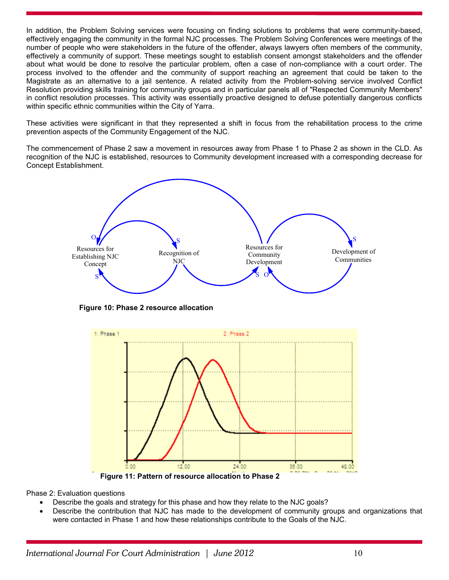In addition, the Problem Solving services were focusing on finding solutions to problems that were community-based, effectively engaging the community in the formal NJC processes. The Problem Solving Conferences were meetings of the number of people who were stakeholders in the future of the offender, always lawyers often members of the community, effectively a community of support. These meetings sought to establish consent amongst stakeholders and the offender about what would be done to resolve the particular problem, often a case of non-compliance with a court order. The process involved to the offender and the community of support reaching an agreement that could be taken to the Magistrate as an alternative to a jail sentence. A related activity from the Problem-solving service involved Conflict Resolution providing skills training for community groups and in particular panels all of "Respected Community Members" in conflict resolution processes. This activity was essentially proactive designed to defuse potentially dangerous conflicts within specific ethnic communities within the City of Yarra.

These activities were significant in that they represented a shift in focus from the rehabilitation process to the crime prevention aspects of the Community Engagement of the NJC.

The commencement of Phase 2 saw a movement in resources away from Phase 1 to Phase 2 as shown in the CLD. As recognition of the NJC is established, resources to Community development increased with a corresponding decrease for Concept Establishment.



 **Figure 10: Phase 2 resource allocation** 



 **Figure 11: Pattern of resource allocation to Phase 2** 

Phase 2: Evaluation questions

- Describe the goals and strategy for this phase and how they relate to the NJC goals?
- Describe the contribution that NJC has made to the development of community groups and organizations that were contacted in Phase 1 and how these relationships contribute to the Goals of the NJC.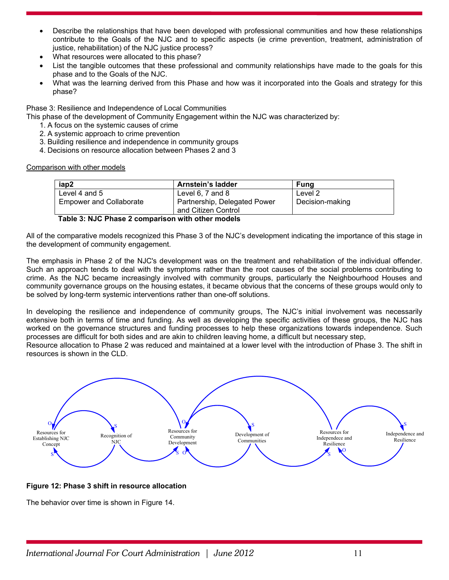- Describe the relationships that have been developed with professional communities and how these relationships contribute to the Goals of the NJC and to specific aspects (ie crime prevention, treatment, administration of justice, rehabilitation) of the NJC justice process?
- What resources were allocated to this phase?
- List the tangible outcomes that these professional and community relationships have made to the goals for this phase and to the Goals of the NJC.
- What was the learning derived from this Phase and how was it incorporated into the Goals and strategy for this phase?

Phase 3: Resilience and Independence of Local Communities

This phase of the development of Community Engagement within the NJC was characterized by:

- 1. A focus on the systemic causes of crime
- 2. A systemic approach to crime prevention
- 3. Building resilience and independence in community groups
- 4. Decisions on resource allocation between Phases 2 and 3

Comparison with other models

| iap2                           | Arnstein's ladder                                   | <b>Fung</b>     |
|--------------------------------|-----------------------------------------------------|-----------------|
| Level 4 and 5                  | Level $6, 7$ and $8$                                | Level 2         |
| <b>Empower and Collaborate</b> | Partnership, Delegated Power<br>and Citizen Control | Decision-making |

#### **Table 3: NJC Phase 2 comparison with other models**

All of the comparative models recognized this Phase 3 of the NJC's development indicating the importance of this stage in the development of community engagement.

The emphasis in Phase 2 of the NJC's development was on the treatment and rehabilitation of the individual offender. Such an approach tends to deal with the symptoms rather than the root causes of the social problems contributing to crime. As the NJC became increasingly involved with community groups, particularly the Neighbourhood Houses and community governance groups on the housing estates, it became obvious that the concerns of these groups would only to be solved by long-term systemic interventions rather than one-off solutions.

In developing the resilience and independence of community groups, The NJC's initial involvement was necessarily extensive both in terms of time and funding. As well as developing the specific activities of these groups, the NJC has worked on the governance structures and funding processes to help these organizations towards independence. Such processes are difficult for both sides and are akin to children leaving home, a difficult but necessary step, Resource allocation to Phase 2 was reduced and maintained at a lower level with the introduction of Phase 3. The shift in

resources is shown in the CLD.



## **Figure 12: Phase 3 shift in resource allocation**

The behavior over time is shown in Figure 14.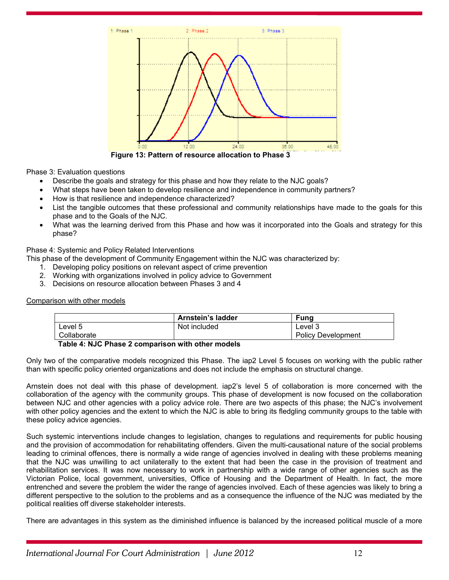

 **Figure 13: Pattern of resource allocation to Phase 3** 

Phase 3: Evaluation questions

- Describe the goals and strategy for this phase and how they relate to the NJC goals?
- What steps have been taken to develop resilience and independence in community partners?
- How is that resilience and independence characterized?
- List the tangible outcomes that these professional and community relationships have made to the goals for this phase and to the Goals of the NJC.
- What was the learning derived from this Phase and how was it incorporated into the Goals and strategy for this phase?

Phase 4: Systemic and Policy Related Interventions

This phase of the development of Community Engagement within the NJC was characterized by:

- 1. Developing policy positions on relevant aspect of crime prevention
- 2. Working with organizations involved in policy advice to Government
- 3. Decisions on resource allocation between Phases 3 and 4

## Comparison with other models

|                                                   | Arnstein's ladder | Funa                      |
|---------------------------------------------------|-------------------|---------------------------|
| Level 5                                           | Not included      | Level 3                   |
| Collaborate                                       |                   | <b>Policy Development</b> |
| Tekla A. N.IO Dhaaa Qaammarkaan with athar madala |                   |                           |

#### **Table 4: NJC Phase 2 comparison with other models**

Only two of the comparative models recognized this Phase. The iap2 Level 5 focuses on working with the public rather than with specific policy oriented organizations and does not include the emphasis on structural change.

Arnstein does not deal with this phase of development. iap2's level 5 of collaboration is more concerned with the collaboration of the agency with the community groups. This phase of development is now focused on the collaboration between NJC and other agencies with a policy advice role. There are two aspects of this phase; the NJC's involvement with other policy agencies and the extent to which the NJC is able to bring its fledgling community groups to the table with these policy advice agencies.

Such systemic interventions include changes to legislation, changes to regulations and requirements for public housing and the provision of accommodation for rehabilitating offenders. Given the multi-causational nature of the social problems leading to criminal offences, there is normally a wide range of agencies involved in dealing with these problems meaning that the NJC was unwilling to act unilaterally to the extent that had been the case in the provision of treatment and rehabilitation services. It was now necessary to work in partnership with a wide range of other agencies such as the Victorian Police, local government, universities, Office of Housing and the Department of Health. In fact, the more entrenched and severe the problem the wider the range of agencies involved. Each of these agencies was likely to bring a different perspective to the solution to the problems and as a consequence the influence of the NJC was mediated by the political realities off diverse stakeholder interests.

There are advantages in this system as the diminished influence is balanced by the increased political muscle of a more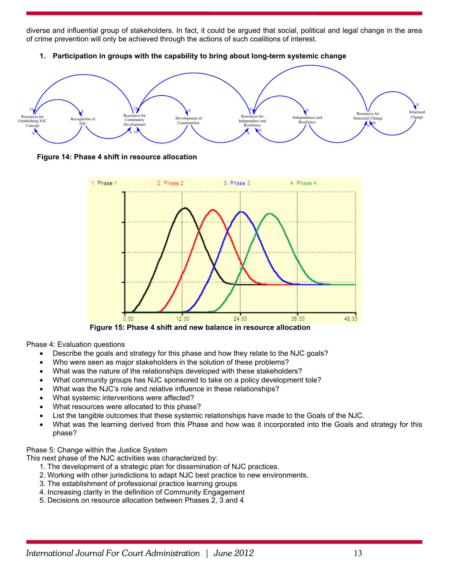diverse and influential group of stakeholders. In fact, it could be argued that social, political and legal change in the area of crime prevention will only be achieved through the actions of such coalitions of interest.

**1. Participation in groups with the capability to bring about long-term systemic change** 



 **Figure 14: Phase 4 shift in resource allocation** 



 **Figure 15: Phase 4 shift and new balance in resource allocation** 

Phase 4: Evaluation questions

- Describe the goals and strategy for this phase and how they relate to the NJC goals?
- Who were seen as major stakeholders in the solution of these problems?
- What was the nature of the relationships developed with these stakeholders?
- What community groups has NJC sponsored to take on a policy development tole?
- What was the NJC's role and relative influence in these relationships?
- What systemic interventions were affected?
- What resources were allocated to this phase?
- List the tangible outcomes that these systemic relationships have made to the Goals of the NJC.
- What was the learning derived from this Phase and how was it incorporated into the Goals and strategy for this phase?

## Phase 5: Change within the Justice System

This next phase of the NJC activities was characterized by:

- 1. The development of a strategic plan for dissemination of NJC practices.
- 2. Working with other jurisdictions to adapt NJC best practice to new environments.
- 3. The establishment of professional practice learning groups
- 4. Increasing clarity in the definition of Community Engagement
- 5. Decisions on resource allocation between Phases 2, 3 and 4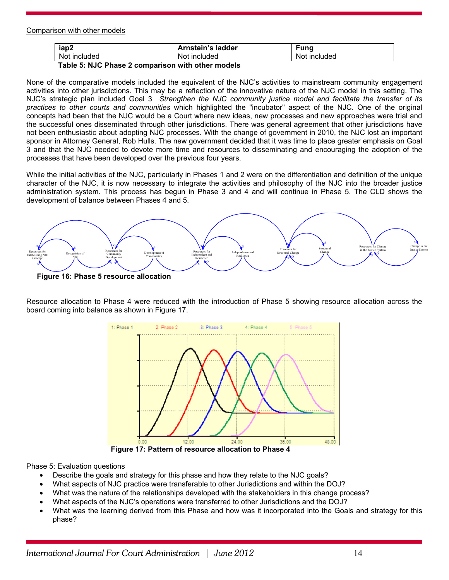Comparison with other models

| iap2                                                                                                             | Arnstein's ladder | ∙una            |
|------------------------------------------------------------------------------------------------------------------|-------------------|-----------------|
| Not included                                                                                                     | ∶included<br>Not. | Not<br>included |
| . The ball of the District Common and the constitution of the contract of the United States of the United States |                   |                 |

 **Table 5: NJC Phase 2 comparison with other models** 

None of the comparative models included the equivalent of the NJC's activities to mainstream community engagement activities into other jurisdictions. This may be a reflection of the innovative nature of the NJC model in this setting. The NJC's strategic plan included Goal 3 *Strengthen the NJC community justice model and facilitate the transfer of its practices to other courts and communities* which highlighted the "incubator" aspect of the NJC. One of the original concepts had been that the NJC would be a Court where new ideas, new processes and new approaches were trial and the successful ones disseminated through other jurisdictions. There was general agreement that other jurisdictions have not been enthusiastic about adopting NJC processes. With the change of government in 2010, the NJC lost an important sponsor in Attorney General, Rob Hulls. The new government decided that it was time to place greater emphasis on Goal 3 and that the NJC needed to devote more time and resources to disseminating and encouraging the adoption of the processes that have been developed over the previous four years.

While the initial activities of the NJC, particularly in Phases 1 and 2 were on the differentiation and definition of the unique character of the NJC, it is now necessary to integrate the activities and philosophy of the NJC into the broader justice administration system. This process has begun in Phase 3 and 4 and will continue in Phase 5. The CLD shows the development of balance between Phases 4 and 5.



 **Figure 16: Phase 5 resource allocation** 

Resource allocation to Phase 4 were reduced with the introduction of Phase 5 showing resource allocation across the board coming into balance as shown in Figure 17.



Phase 5: Evaluation questions

- Describe the goals and strategy for this phase and how they relate to the NJC goals?
- What aspects of NJC practice were transferable to other Jurisdictions and within the DOJ?
- What was the nature of the relationships developed with the stakeholders in this change process?
- What aspects of the NJC's operations were transferred to other Jurisdictions and the DOJ?
- What was the learning derived from this Phase and how was it incorporated into the Goals and strategy for this phase?